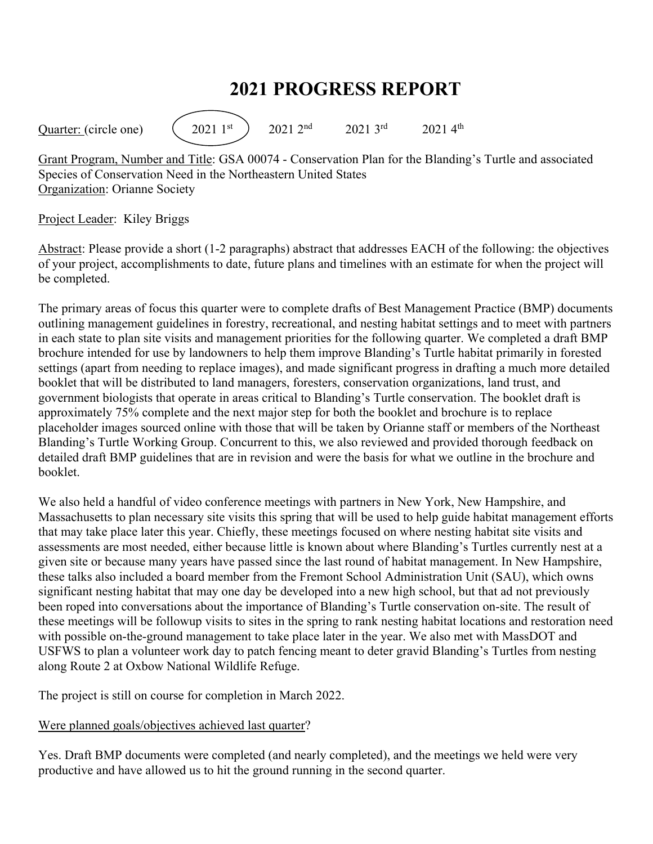# **2021 PROGRESS REPORT**

Quarter: (circle one)  $(2021 \text{ 1st})$  2021  $2^{\text{nd}}$  2021  $3^{\text{rd}}$  2021  $4^{\text{th}}$ 

Grant Program, Number and Title: GSA 00074 - Conservation Plan for the Blanding's Turtle and associated Species of Conservation Need in the Northeastern United States Organization: Orianne Society

#### Project Leader: Kiley Briggs

Abstract: Please provide a short (1-2 paragraphs) abstract that addresses EACH of the following: the objectives of your project, accomplishments to date, future plans and timelines with an estimate for when the project will be completed.

The primary areas of focus this quarter were to complete drafts of Best Management Practice (BMP) documents outlining management guidelines in forestry, recreational, and nesting habitat settings and to meet with partners in each state to plan site visits and management priorities for the following quarter. We completed a draft BMP brochure intended for use by landowners to help them improve Blanding's Turtle habitat primarily in forested settings (apart from needing to replace images), and made significant progress in drafting a much more detailed booklet that will be distributed to land managers, foresters, conservation organizations, land trust, and government biologists that operate in areas critical to Blanding's Turtle conservation. The booklet draft is approximately 75% complete and the next major step for both the booklet and brochure is to replace placeholder images sourced online with those that will be taken by Orianne staff or members of the Northeast Blanding's Turtle Working Group. Concurrent to this, we also reviewed and provided thorough feedback on detailed draft BMP guidelines that are in revision and were the basis for what we outline in the brochure and booklet.

We also held a handful of video conference meetings with partners in New York, New Hampshire, and Massachusetts to plan necessary site visits this spring that will be used to help guide habitat management efforts that may take place later this year. Chiefly, these meetings focused on where nesting habitat site visits and assessments are most needed, either because little is known about where Blanding's Turtles currently nest at a given site or because many years have passed since the last round of habitat management. In New Hampshire, these talks also included a board member from the Fremont School Administration Unit (SAU), which owns significant nesting habitat that may one day be developed into a new high school, but that ad not previously been roped into conversations about the importance of Blanding's Turtle conservation on-site. The result of these meetings will be followup visits to sites in the spring to rank nesting habitat locations and restoration need with possible on-the-ground management to take place later in the year. We also met with MassDOT and USFWS to plan a volunteer work day to patch fencing meant to deter gravid Blanding's Turtles from nesting along Route 2 at Oxbow National Wildlife Refuge.

The project is still on course for completion in March 2022.

### Were planned goals/objectives achieved last quarter?

Yes. Draft BMP documents were completed (and nearly completed), and the meetings we held were very productive and have allowed us to hit the ground running in the second quarter.